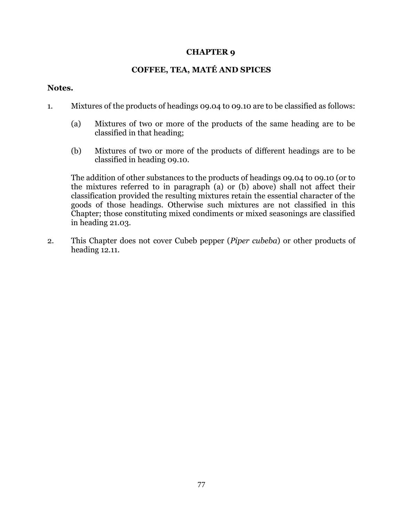## **CHAPTER 9**

## **COFFEE, TEA, MATÉ AND SPICES**

## **Notes.**

- 1. Mixtures of the products of headings 09.04 to 09.10 are to be classified as follows:
	- (a) Mixtures of two or more of the products of the same heading are to be classified in that heading;
	- (b) Mixtures of two or more of the products of different headings are to be classified in heading 09.10.

The addition of other substances to the products of headings 09.04 to 09.10 (or to the mixtures referred to in paragraph (a) or (b) above) shall not affect their classification provided the resulting mixtures retain the essential character of the goods of those headings. Otherwise such mixtures are not classified in this Chapter; those constituting mixed condiments or mixed seasonings are classified in heading 21.03.

2. This Chapter does not cover Cubeb pepper (*Piper cubeba*) or other products of heading 12.11.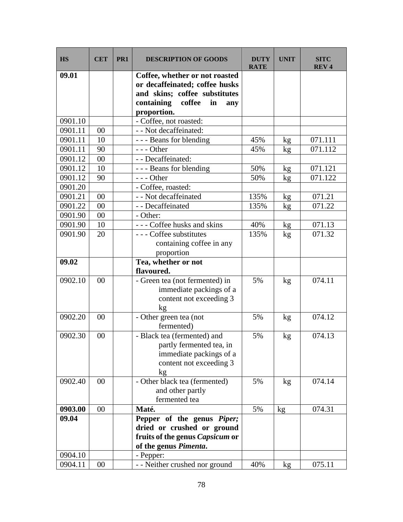| 09.01<br>Coffee, whether or not roasted<br>or decaffeinated; coffee husks<br>and skins; coffee substitutes<br>containing<br>coffee<br>in<br>any<br>proportion.<br>- Coffee, not roasted:<br>0901.10<br>- - Not decaffeinated:<br>0901.11<br>00 |  |
|------------------------------------------------------------------------------------------------------------------------------------------------------------------------------------------------------------------------------------------------|--|
|                                                                                                                                                                                                                                                |  |
|                                                                                                                                                                                                                                                |  |
|                                                                                                                                                                                                                                                |  |
|                                                                                                                                                                                                                                                |  |
|                                                                                                                                                                                                                                                |  |
| 0901.11<br>10<br>- - - Beans for blending<br>071.111<br>45%<br>kg                                                                                                                                                                              |  |
| 0901.11<br>90<br>$--$ Other<br>45%<br>071.112<br>$\mathbf{kg}$                                                                                                                                                                                 |  |
| - - Decaffeinated:<br>0901.12<br>00                                                                                                                                                                                                            |  |
| 0901.12<br>071.121<br>10<br>--- Beans for blending<br>50%<br>kg                                                                                                                                                                                |  |
| 0901.12<br>$--$ Other<br>50%<br>071.122<br>90<br>kg                                                                                                                                                                                            |  |
| - Coffee, roasted:<br>0901.20                                                                                                                                                                                                                  |  |
| - - Not decaffeinated<br>0901.21<br>00<br>135%<br>071.21<br>kg                                                                                                                                                                                 |  |
| - - Decaffeinated<br>071.22<br>0901.22<br>00<br>135%<br>kg                                                                                                                                                                                     |  |
| $00\,$<br>0901.90<br>- Other:                                                                                                                                                                                                                  |  |
| 071.13<br>0901.90<br>10<br>--- Coffee husks and skins<br>40%<br>kg                                                                                                                                                                             |  |
| 0901.90<br>--- Coffee substitutes<br>071.32<br>20<br>135%<br>kg                                                                                                                                                                                |  |
| containing coffee in any                                                                                                                                                                                                                       |  |
| proportion                                                                                                                                                                                                                                     |  |
| 09.02<br>Tea, whether or not                                                                                                                                                                                                                   |  |
| flavoured.                                                                                                                                                                                                                                     |  |
| 074.11<br>0902.10<br>- Green tea (not fermented) in<br>5%<br>00<br>kg                                                                                                                                                                          |  |
| immediate packings of a                                                                                                                                                                                                                        |  |
| content not exceeding 3                                                                                                                                                                                                                        |  |
| kg                                                                                                                                                                                                                                             |  |
| 0902.20<br>- Other green tea (not<br>5%<br>074.12<br>00<br>kg                                                                                                                                                                                  |  |
| fermented)                                                                                                                                                                                                                                     |  |
| 0902.30<br>- Black tea (fermented) and<br>5%<br>074.13<br>00<br>kg                                                                                                                                                                             |  |
| partly fermented tea, in                                                                                                                                                                                                                       |  |
| immediate packings of a                                                                                                                                                                                                                        |  |
| content not exceeding 3                                                                                                                                                                                                                        |  |
| kg                                                                                                                                                                                                                                             |  |
| - Other black tea (fermented)<br>074.14<br>0902.40<br>00<br>5%<br>kg                                                                                                                                                                           |  |
| and other partly                                                                                                                                                                                                                               |  |
| fermented tea                                                                                                                                                                                                                                  |  |
| 00<br>5%<br>074.31<br>0903.00<br>Maté.<br>kg                                                                                                                                                                                                   |  |
| 09.04<br>Pepper of the genus Piper;                                                                                                                                                                                                            |  |
| dried or crushed or ground                                                                                                                                                                                                                     |  |
| fruits of the genus Capsicum or<br>of the genus Pimenta.                                                                                                                                                                                       |  |
| 0904.10<br>- Pepper:                                                                                                                                                                                                                           |  |
| - - Neither crushed nor ground<br>075.11<br>0904.11<br>00<br>40%<br>kg                                                                                                                                                                         |  |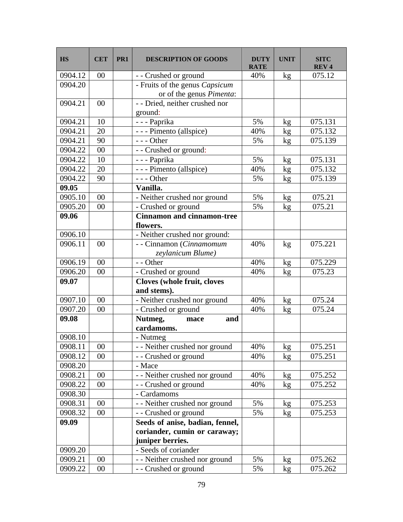| <b>HS</b> | <b>CET</b> | PR <sub>1</sub> | <b>DESCRIPTION OF GOODS</b>                                | DUTY<br><b>RATE</b> | <b>UNIT</b> | <b>SITC</b><br><b>REV4</b> |
|-----------|------------|-----------------|------------------------------------------------------------|---------------------|-------------|----------------------------|
| 0904.12   | 00         |                 | - - Crushed or ground                                      | 40%                 | kg          | 075.12                     |
| 0904.20   |            |                 | - Fruits of the genus Capsicum<br>or of the genus Pimenta: |                     |             |                            |
| 0904.21   | 00         |                 | - - Dried, neither crushed nor<br>ground:                  |                     |             |                            |
| 0904.21   | 10         |                 | - - - Paprika                                              | 5%                  | kg          | 075.131                    |
| 0904.21   | 20         |                 | - - - Pimento (allspice)                                   | 40%                 | kg          | 075.132                    |
| 0904.21   | 90         |                 | $--$ Other                                                 | 5%                  | kg          | 075.139                    |
| 0904.22   | 00         |                 | - - Crushed or ground:                                     |                     |             |                            |
| 0904.22   | 10         |                 | - - - Paprika                                              | 5%                  | kg          | 075.131                    |
| 0904.22   | 20         |                 | - - - Pimento (allspice)                                   | 40%                 | kg          | 075.132                    |
| 0904.22   | 90         |                 | $--$ Other                                                 | 5%                  | kg          | 075.139                    |
| 09.05     |            |                 | Vanilla.                                                   |                     |             |                            |
| 0905.10   | 00         |                 | - Neither crushed nor ground                               | 5%                  | kg          | 075.21                     |
| 0905.20   | 00         |                 | - Crushed or ground                                        | 5%                  | kg          | 075.21                     |
| 09.06     |            |                 | <b>Cinnamon and cinnamon-tree</b><br>flowers.              |                     |             |                            |
| 0906.10   |            |                 | - Neither crushed nor ground:                              |                     |             |                            |
| 0906.11   | 00         |                 | - - Cinnamon (Cinnamomum<br>zeylanicum Blume)              | 40%                 | kg          | 075.221                    |
| 0906.19   | 00         |                 | - - Other                                                  | 40%                 | kg          | 075.229                    |
| 0906.20   | 00         |                 | - Crushed or ground                                        | 40%                 | kg          | 075.23                     |
| 09.07     |            |                 | <b>Cloves (whole fruit, cloves</b>                         |                     |             |                            |
|           |            |                 | and stems).                                                |                     |             |                            |
| 0907.10   | 00         |                 | - Neither crushed nor ground                               | 40%                 | kg          | 075.24                     |
| 0907.20   | 00         |                 | - Crushed or ground                                        | 40%                 | kg          | 075.24                     |
| 09.08     |            |                 | Nutmeg,<br>and<br>mace<br>cardamoms.                       |                     |             |                            |
| 0908.10   |            |                 | - Nutmeg                                                   |                     |             |                            |
| 0908.11   | $00\,$     |                 | - - Neither crushed nor ground                             | 40%                 | kg          | 075.251                    |
| 0908.12   | 00         |                 | - - Crushed or ground                                      | 40%                 | kg          | 075.251                    |
| 0908.20   |            |                 | - Mace                                                     |                     |             |                            |
| 0908.21   | 00         |                 | - - Neither crushed nor ground                             | 40%                 | kg          | 075.252                    |
| 0908.22   | 00         |                 | - - Crushed or ground                                      | 40%                 | kg          | 075.252                    |
| 0908.30   |            |                 | - Cardamoms                                                |                     |             |                            |
| 0908.31   | 00         |                 | - - Neither crushed nor ground                             | 5%                  | kg          | 075.253                    |
| 0908.32   | 00         |                 | - - Crushed or ground                                      | 5%                  | kg          | 075.253                    |
| 09.09     |            |                 | Seeds of anise, badian, fennel,                            |                     |             |                            |
|           |            |                 | coriander, cumin or caraway;<br>juniper berries.           |                     |             |                            |
| 0909.20   |            |                 | - Seeds of coriander                                       |                     |             |                            |
| 0909.21   | 00         |                 | - - Neither crushed nor ground                             | 5%                  | kg          | 075.262                    |
| 0909.22   | 00         |                 | - - Crushed or ground                                      | 5%                  | kg          | 075.262                    |